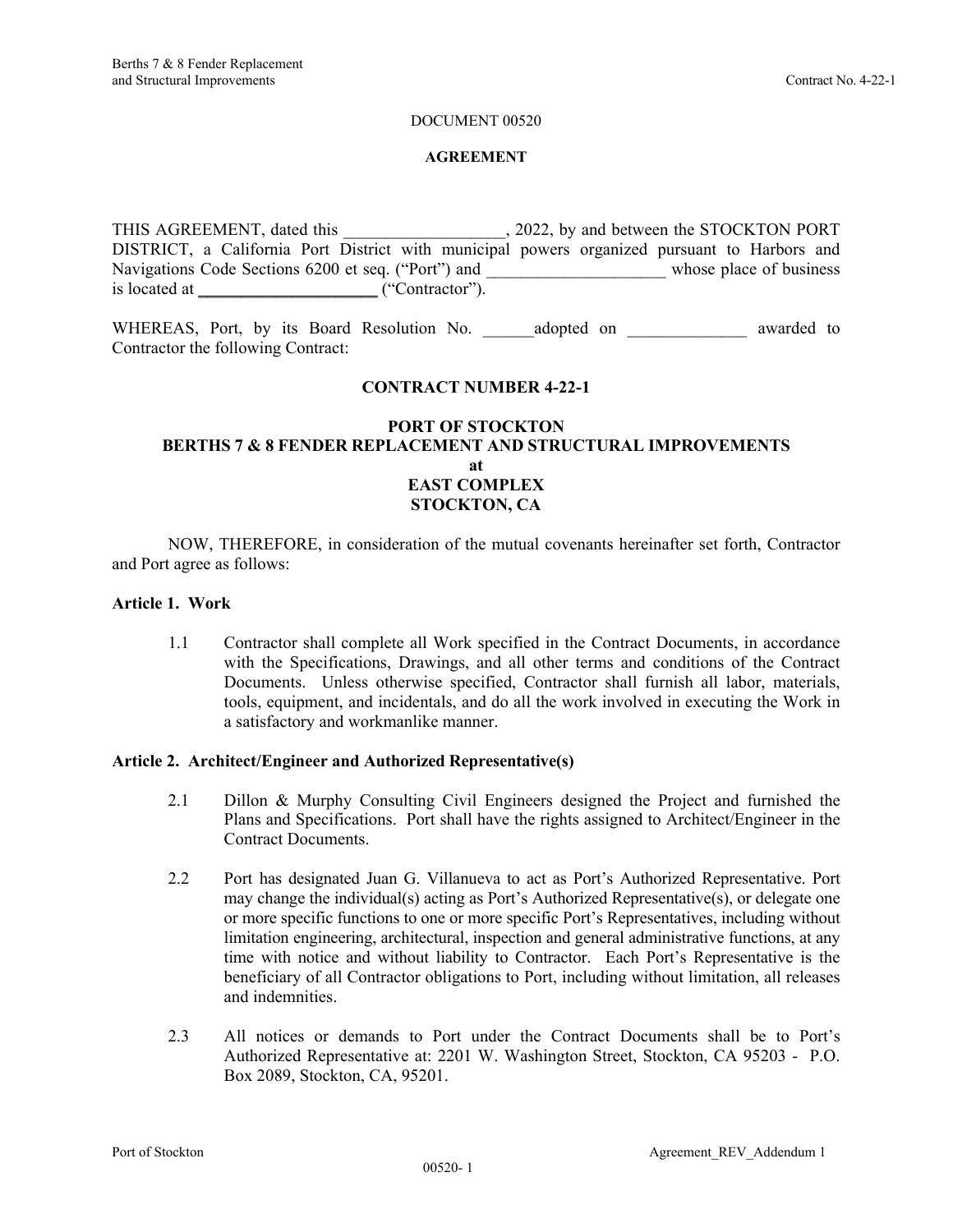#### DOCUMENT 00520

#### **AGREEMENT**

THIS AGREEMENT, dated this  $, 2022,$  by and between the STOCKTON PORT DISTRICT, a California Port District with municipal powers organized pursuant to Harbors and Navigations Code Sections 6200 et seq. ("Port") and \_\_\_\_\_\_\_\_\_\_\_\_\_\_\_\_\_\_\_\_\_\_\_\_\_ whose place of business is located at  $\begin{array}{ccc}\n\hline\n\end{array}$  ("Contractor").

WHEREAS, Port, by its Board Resolution No. \_\_\_\_\_\_\_\_\_\_\_\_\_\_\_\_\_\_\_\_\_\_\_\_ awarded to Contractor the following Contract:

## **CONTRACT NUMBER 4-22-1**

## **PORT OF STOCKTON BERTHS 7 & 8 FENDER REPLACEMENT AND STRUCTURAL IMPROVEMENTS at EAST COMPLEX STOCKTON, CA**

 NOW, THEREFORE, in consideration of the mutual covenants hereinafter set forth, Contractor and Port agree as follows:

#### **Article 1. Work**

1.1 Contractor shall complete all Work specified in the Contract Documents, in accordance with the Specifications, Drawings, and all other terms and conditions of the Contract Documents. Unless otherwise specified, Contractor shall furnish all labor, materials, tools, equipment, and incidentals, and do all the work involved in executing the Work in a satisfactory and workmanlike manner.

#### **Article 2. Architect/Engineer and Authorized Representative(s)**

- 2.1 Dillon & Murphy Consulting Civil Engineers designed the Project and furnished the Plans and Specifications. Port shall have the rights assigned to Architect/Engineer in the Contract Documents.
- 2.2 Port has designated Juan G. Villanueva to act as Port's Authorized Representative. Port may change the individual(s) acting as Port's Authorized Representative(s), or delegate one or more specific functions to one or more specific Port's Representatives, including without limitation engineering, architectural, inspection and general administrative functions, at any time with notice and without liability to Contractor. Each Port's Representative is the beneficiary of all Contractor obligations to Port, including without limitation, all releases and indemnities.
- 2.3 All notices or demands to Port under the Contract Documents shall be to Port's Authorized Representative at: 2201 W. Washington Street, Stockton, CA 95203 - P.O. Box 2089, Stockton, CA, 95201.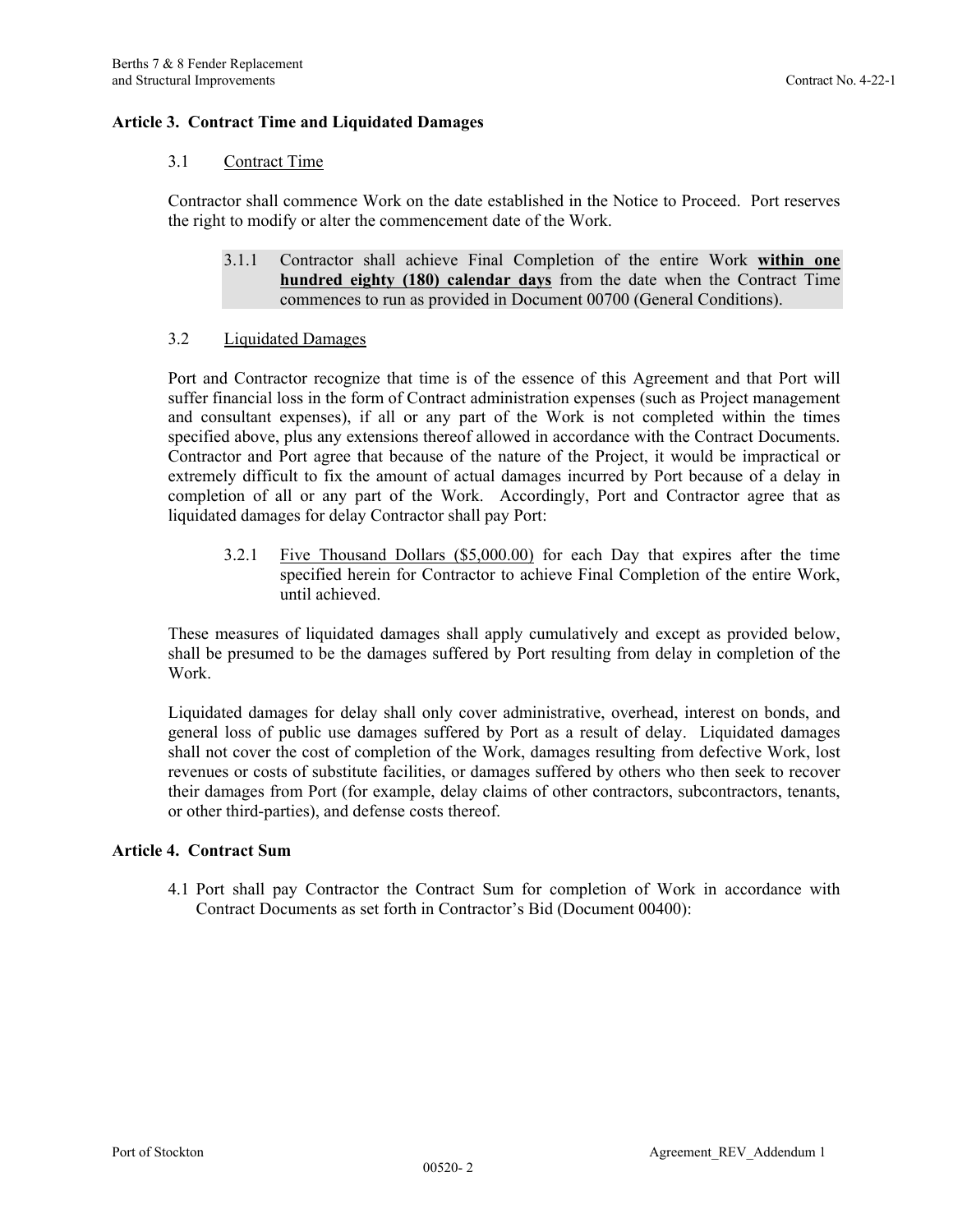## **Article 3. Contract Time and Liquidated Damages**

#### 3.1 Contract Time

Contractor shall commence Work on the date established in the Notice to Proceed. Port reserves the right to modify or alter the commencement date of the Work.

3.1.1 Contractor shall achieve Final Completion of the entire Work **within one hundred eighty (180) calendar days** from the date when the Contract Time commences to run as provided in Document 00700 (General Conditions).

### 3.2 Liquidated Damages

Port and Contractor recognize that time is of the essence of this Agreement and that Port will suffer financial loss in the form of Contract administration expenses (such as Project management and consultant expenses), if all or any part of the Work is not completed within the times specified above, plus any extensions thereof allowed in accordance with the Contract Documents. Contractor and Port agree that because of the nature of the Project, it would be impractical or extremely difficult to fix the amount of actual damages incurred by Port because of a delay in completion of all or any part of the Work. Accordingly, Port and Contractor agree that as liquidated damages for delay Contractor shall pay Port:

3.2.1 Five Thousand Dollars (\$5,000.00) for each Day that expires after the time specified herein for Contractor to achieve Final Completion of the entire Work, until achieved.

These measures of liquidated damages shall apply cumulatively and except as provided below, shall be presumed to be the damages suffered by Port resulting from delay in completion of the Work.

Liquidated damages for delay shall only cover administrative, overhead, interest on bonds, and general loss of public use damages suffered by Port as a result of delay. Liquidated damages shall not cover the cost of completion of the Work, damages resulting from defective Work, lost revenues or costs of substitute facilities, or damages suffered by others who then seek to recover their damages from Port (for example, delay claims of other contractors, subcontractors, tenants, or other third-parties), and defense costs thereof.

### **Article 4. Contract Sum**

4.1 Port shall pay Contractor the Contract Sum for completion of Work in accordance with Contract Documents as set forth in Contractor's Bid (Document 00400):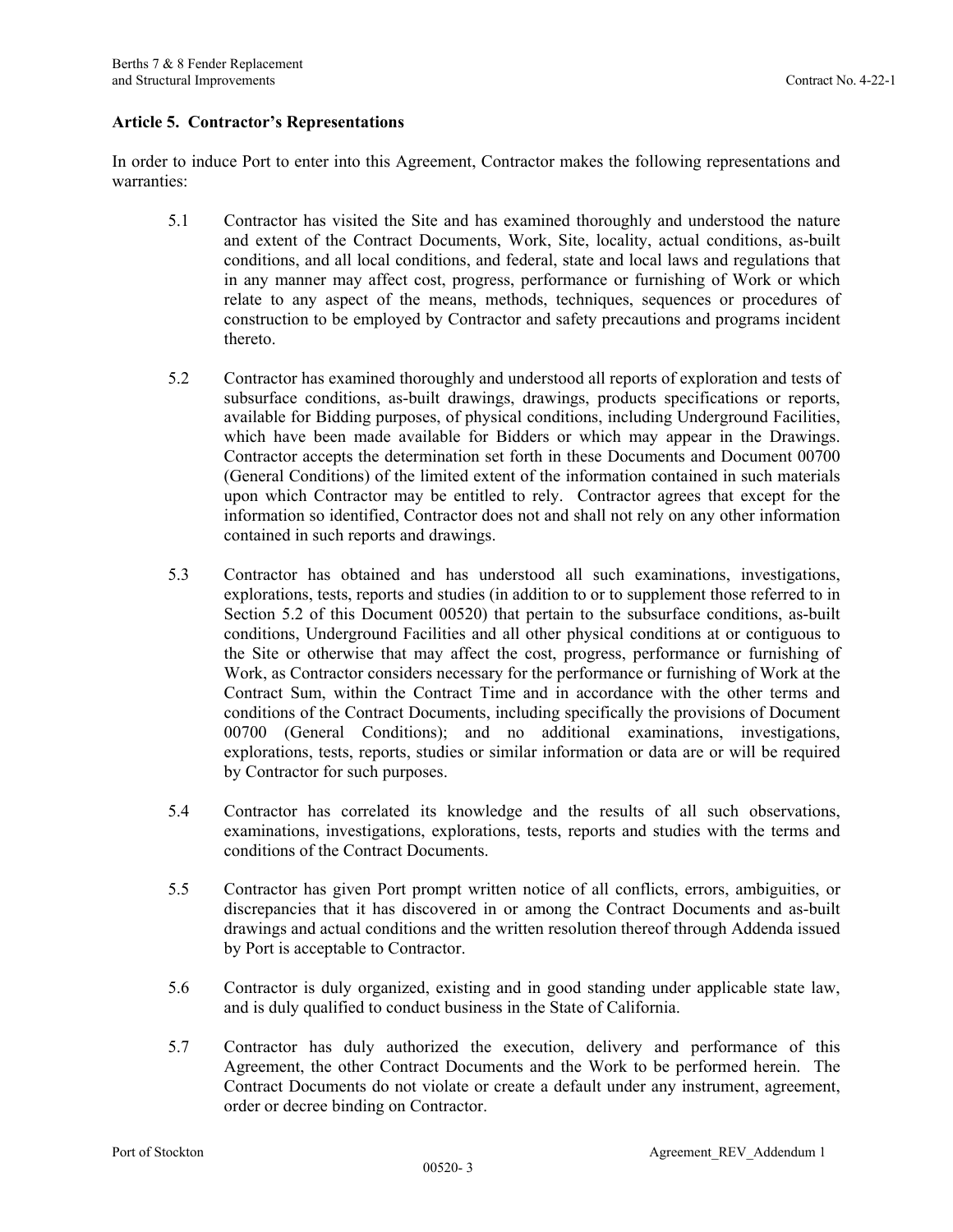#### **Article 5. Contractor's Representations**

In order to induce Port to enter into this Agreement, Contractor makes the following representations and warranties:

- 5.1 Contractor has visited the Site and has examined thoroughly and understood the nature and extent of the Contract Documents, Work, Site, locality, actual conditions, as-built conditions, and all local conditions, and federal, state and local laws and regulations that in any manner may affect cost, progress, performance or furnishing of Work or which relate to any aspect of the means, methods, techniques, sequences or procedures of construction to be employed by Contractor and safety precautions and programs incident thereto.
- 5.2 Contractor has examined thoroughly and understood all reports of exploration and tests of subsurface conditions, as-built drawings, drawings, products specifications or reports, available for Bidding purposes, of physical conditions, including Underground Facilities, which have been made available for Bidders or which may appear in the Drawings. Contractor accepts the determination set forth in these Documents and Document 00700 (General Conditions) of the limited extent of the information contained in such materials upon which Contractor may be entitled to rely. Contractor agrees that except for the information so identified, Contractor does not and shall not rely on any other information contained in such reports and drawings.
- 5.3 Contractor has obtained and has understood all such examinations, investigations, explorations, tests, reports and studies (in addition to or to supplement those referred to in Section 5.2 of this Document 00520) that pertain to the subsurface conditions, as-built conditions, Underground Facilities and all other physical conditions at or contiguous to the Site or otherwise that may affect the cost, progress, performance or furnishing of Work, as Contractor considers necessary for the performance or furnishing of Work at the Contract Sum, within the Contract Time and in accordance with the other terms and conditions of the Contract Documents, including specifically the provisions of Document 00700 (General Conditions); and no additional examinations, investigations, explorations, tests, reports, studies or similar information or data are or will be required by Contractor for such purposes.
- 5.4 Contractor has correlated its knowledge and the results of all such observations, examinations, investigations, explorations, tests, reports and studies with the terms and conditions of the Contract Documents.
- 5.5 Contractor has given Port prompt written notice of all conflicts, errors, ambiguities, or discrepancies that it has discovered in or among the Contract Documents and as-built drawings and actual conditions and the written resolution thereof through Addenda issued by Port is acceptable to Contractor.
- 5.6 Contractor is duly organized, existing and in good standing under applicable state law, and is duly qualified to conduct business in the State of California.
- 5.7 Contractor has duly authorized the execution, delivery and performance of this Agreement, the other Contract Documents and the Work to be performed herein. The Contract Documents do not violate or create a default under any instrument, agreement, order or decree binding on Contractor.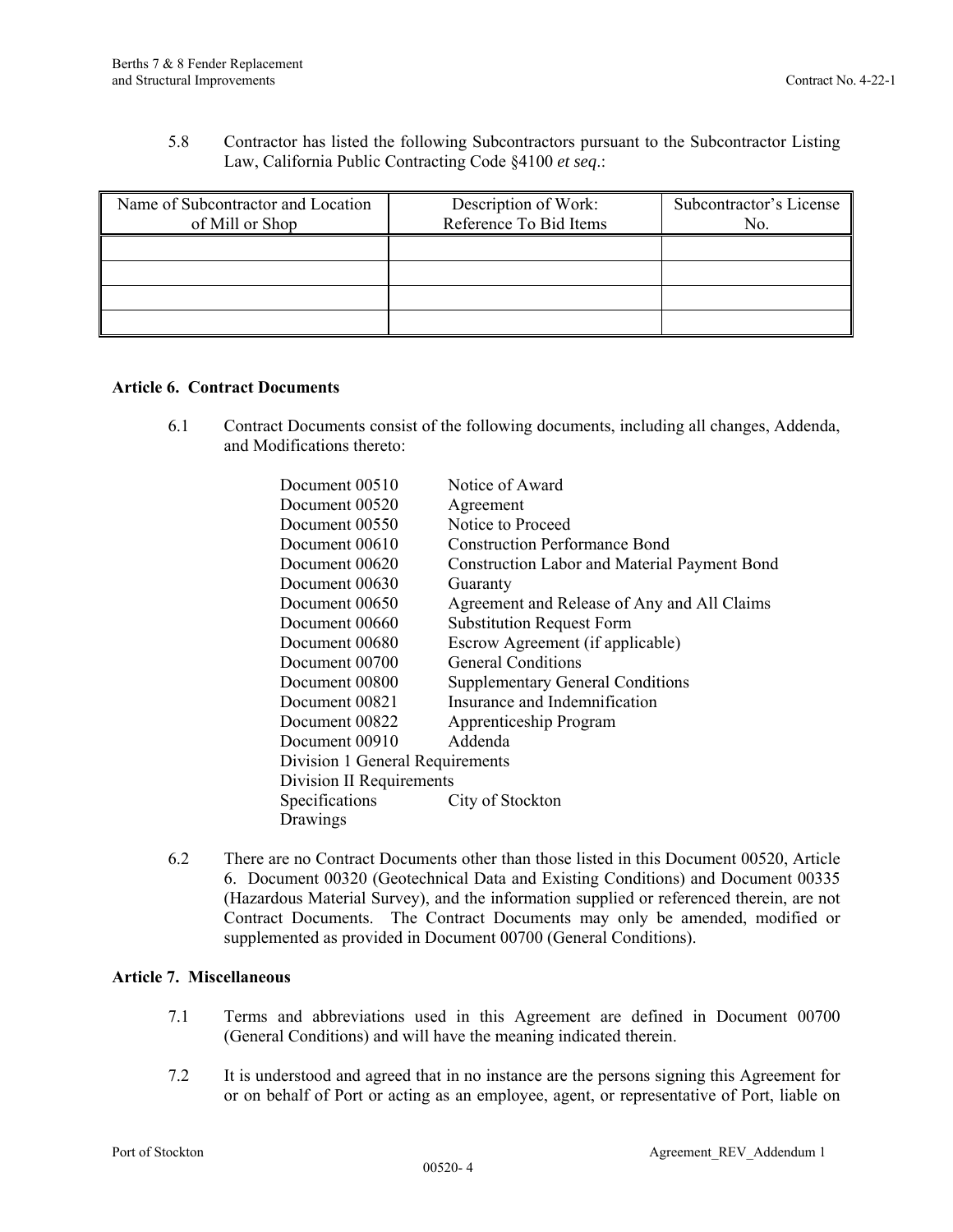5.8 Contractor has listed the following Subcontractors pursuant to the Subcontractor Listing Law, California Public Contracting Code §4100 *et seq*.:

| Name of Subcontractor and Location<br>of Mill or Shop | Description of Work:<br>Reference To Bid Items | Subcontractor's License<br>No. |
|-------------------------------------------------------|------------------------------------------------|--------------------------------|
|                                                       |                                                |                                |
|                                                       |                                                |                                |
|                                                       |                                                |                                |
|                                                       |                                                |                                |

### **Article 6. Contract Documents**

6.1 Contract Documents consist of the following documents, including all changes, Addenda, and Modifications thereto:

| Document 00510                  | Notice of Award                                     |  |
|---------------------------------|-----------------------------------------------------|--|
| Document 00520                  | Agreement                                           |  |
| Document 00550                  | Notice to Proceed                                   |  |
| Document 00610                  | <b>Construction Performance Bond</b>                |  |
| Document 00620                  | <b>Construction Labor and Material Payment Bond</b> |  |
| Document 00630                  | Guaranty                                            |  |
| Document 00650                  | Agreement and Release of Any and All Claims         |  |
| Document 00660                  | <b>Substitution Request Form</b>                    |  |
| Document 00680                  | Escrow Agreement (if applicable)                    |  |
| Document 00700                  | <b>General Conditions</b>                           |  |
| Document 00800                  | <b>Supplementary General Conditions</b>             |  |
| Document 00821                  | Insurance and Indemnification                       |  |
| Document 00822                  | Apprenticeship Program                              |  |
| Document 00910                  | Addenda                                             |  |
| Division 1 General Requirements |                                                     |  |
| Division II Requirements        |                                                     |  |
| Specifications                  | City of Stockton                                    |  |
| Drawings                        |                                                     |  |

6.2 There are no Contract Documents other than those listed in this Document 00520, Article 6. Document 00320 (Geotechnical Data and Existing Conditions) and Document 00335 (Hazardous Material Survey), and the information supplied or referenced therein, are not Contract Documents. The Contract Documents may only be amended, modified or supplemented as provided in Document 00700 (General Conditions).

## **Article 7. Miscellaneous**

- 7.1 Terms and abbreviations used in this Agreement are defined in Document 00700 (General Conditions) and will have the meaning indicated therein.
- 7.2 It is understood and agreed that in no instance are the persons signing this Agreement for or on behalf of Port or acting as an employee, agent, or representative of Port, liable on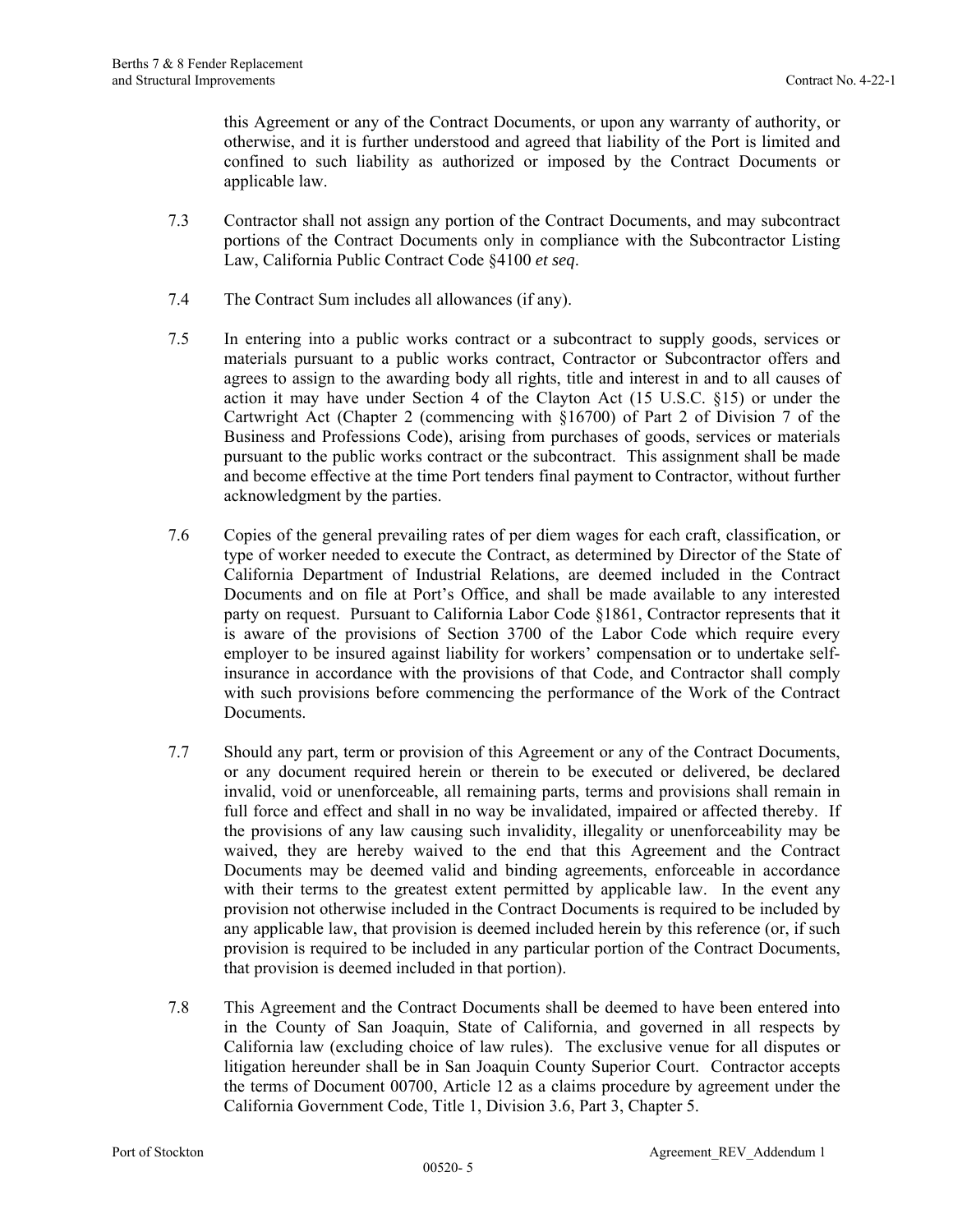this Agreement or any of the Contract Documents, or upon any warranty of authority, or otherwise, and it is further understood and agreed that liability of the Port is limited and confined to such liability as authorized or imposed by the Contract Documents or applicable law.

- 7.3 Contractor shall not assign any portion of the Contract Documents, and may subcontract portions of the Contract Documents only in compliance with the Subcontractor Listing Law, California Public Contract Code §4100 *et seq*.
- 7.4 The Contract Sum includes all allowances (if any).
- 7.5 In entering into a public works contract or a subcontract to supply goods, services or materials pursuant to a public works contract, Contractor or Subcontractor offers and agrees to assign to the awarding body all rights, title and interest in and to all causes of action it may have under Section 4 of the Clayton Act (15 U.S.C. §15) or under the Cartwright Act (Chapter 2 (commencing with §16700) of Part 2 of Division 7 of the Business and Professions Code), arising from purchases of goods, services or materials pursuant to the public works contract or the subcontract. This assignment shall be made and become effective at the time Port tenders final payment to Contractor, without further acknowledgment by the parties.
- 7.6 Copies of the general prevailing rates of per diem wages for each craft, classification, or type of worker needed to execute the Contract, as determined by Director of the State of California Department of Industrial Relations, are deemed included in the Contract Documents and on file at Port's Office, and shall be made available to any interested party on request. Pursuant to California Labor Code §1861, Contractor represents that it is aware of the provisions of Section 3700 of the Labor Code which require every employer to be insured against liability for workers' compensation or to undertake selfinsurance in accordance with the provisions of that Code, and Contractor shall comply with such provisions before commencing the performance of the Work of the Contract Documents.
- 7.7 Should any part, term or provision of this Agreement or any of the Contract Documents, or any document required herein or therein to be executed or delivered, be declared invalid, void or unenforceable, all remaining parts, terms and provisions shall remain in full force and effect and shall in no way be invalidated, impaired or affected thereby. If the provisions of any law causing such invalidity, illegality or unenforceability may be waived, they are hereby waived to the end that this Agreement and the Contract Documents may be deemed valid and binding agreements, enforceable in accordance with their terms to the greatest extent permitted by applicable law. In the event any provision not otherwise included in the Contract Documents is required to be included by any applicable law, that provision is deemed included herein by this reference (or, if such provision is required to be included in any particular portion of the Contract Documents, that provision is deemed included in that portion).
- 7.8 This Agreement and the Contract Documents shall be deemed to have been entered into in the County of San Joaquin, State of California, and governed in all respects by California law (excluding choice of law rules). The exclusive venue for all disputes or litigation hereunder shall be in San Joaquin County Superior Court. Contractor accepts the terms of Document 00700, Article 12 as a claims procedure by agreement under the California Government Code, Title 1, Division 3.6, Part 3, Chapter 5.